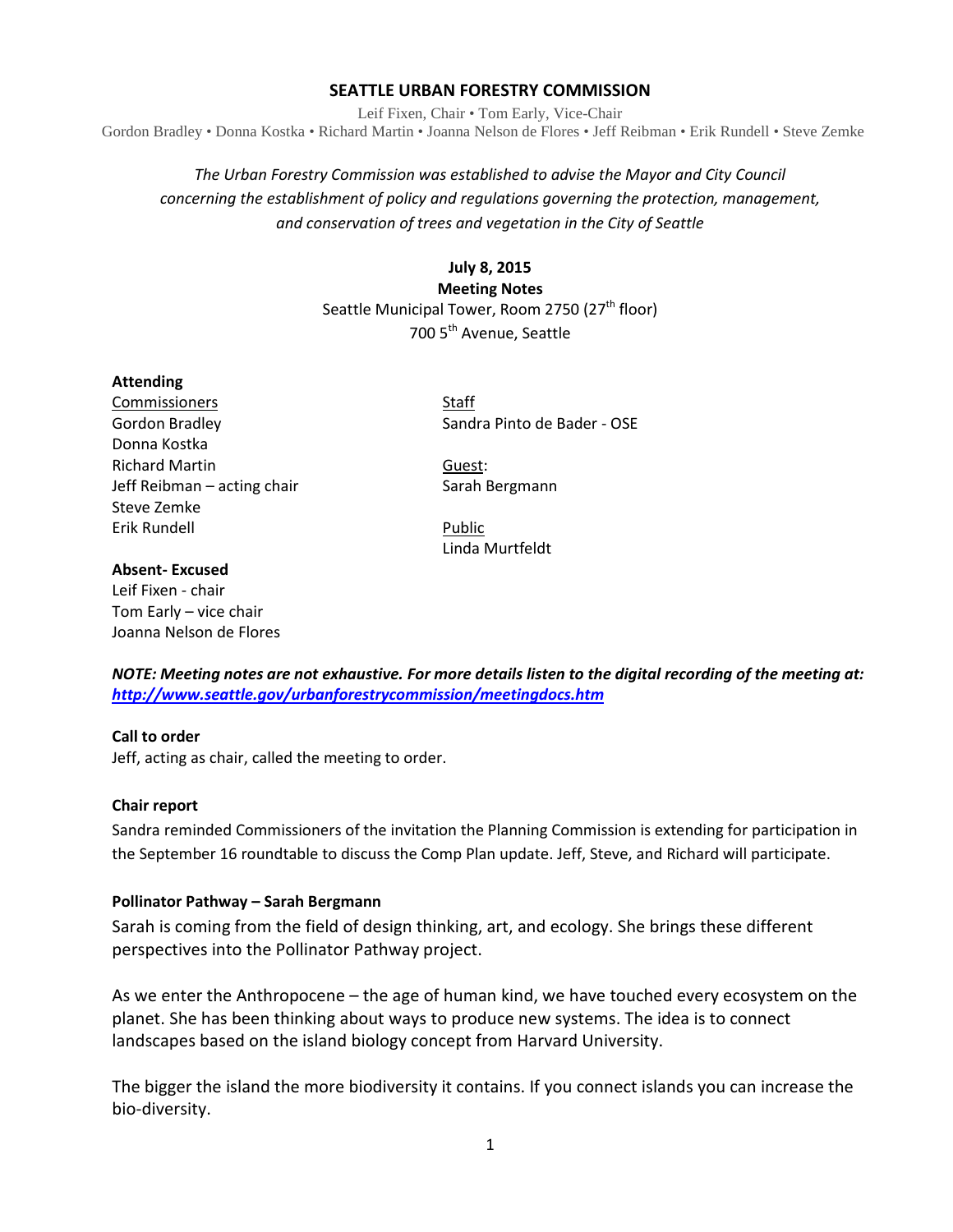## **SEATTLE URBAN FORESTRY COMMISSION**

Leif Fixen, Chair • Tom Early, Vice-Chair Gordon Bradley • Donna Kostka • Richard Martin • Joanna Nelson de Flores • Jeff Reibman • Erik Rundell • Steve Zemke

# *The Urban Forestry Commission was established to advise the Mayor and City Council concerning the establishment of policy and regulations governing the protection, management, and conservation of trees and vegetation in the City of Seattle*

**July 8, 2015 Meeting Notes** Seattle Municipal Tower, Room 2750 (27<sup>th</sup> floor) 700 5<sup>th</sup> Avenue, Seattle

#### **Attending**

**Commissioners** Staff Donna Kostka Richard Martin Guest: Jeff Reibman – acting chair Sarah Bergmann Steve Zemke Erik Rundell **Public** 

Gordon Bradley Sandra Pinto de Bader - OSE

Linda Murtfeldt

#### **Absent- Excused**

Leif Fixen - chair Tom Early – vice chair Joanna Nelson de Flores

*NOTE: Meeting notes are not exhaustive. For more details listen to the digital recording of the meeting at: <http://www.seattle.gov/urbanforestrycommission/meetingdocs.htm>*

#### **Call to order**

Jeff, acting as chair, called the meeting to order.

#### **Chair report**

Sandra reminded Commissioners of the invitation the Planning Commission is extending for participation in the September 16 roundtable to discuss the Comp Plan update. Jeff, Steve, and Richard will participate.

#### **Pollinator Pathway – Sarah Bergmann**

Sarah is coming from the field of design thinking, art, and ecology. She brings these different perspectives into the Pollinator Pathway project.

As we enter the Anthropocene – the age of human kind, we have touched every ecosystem on the planet. She has been thinking about ways to produce new systems. The idea is to connect landscapes based on the island biology concept from Harvard University.

The bigger the island the more biodiversity it contains. If you connect islands you can increase the bio-diversity.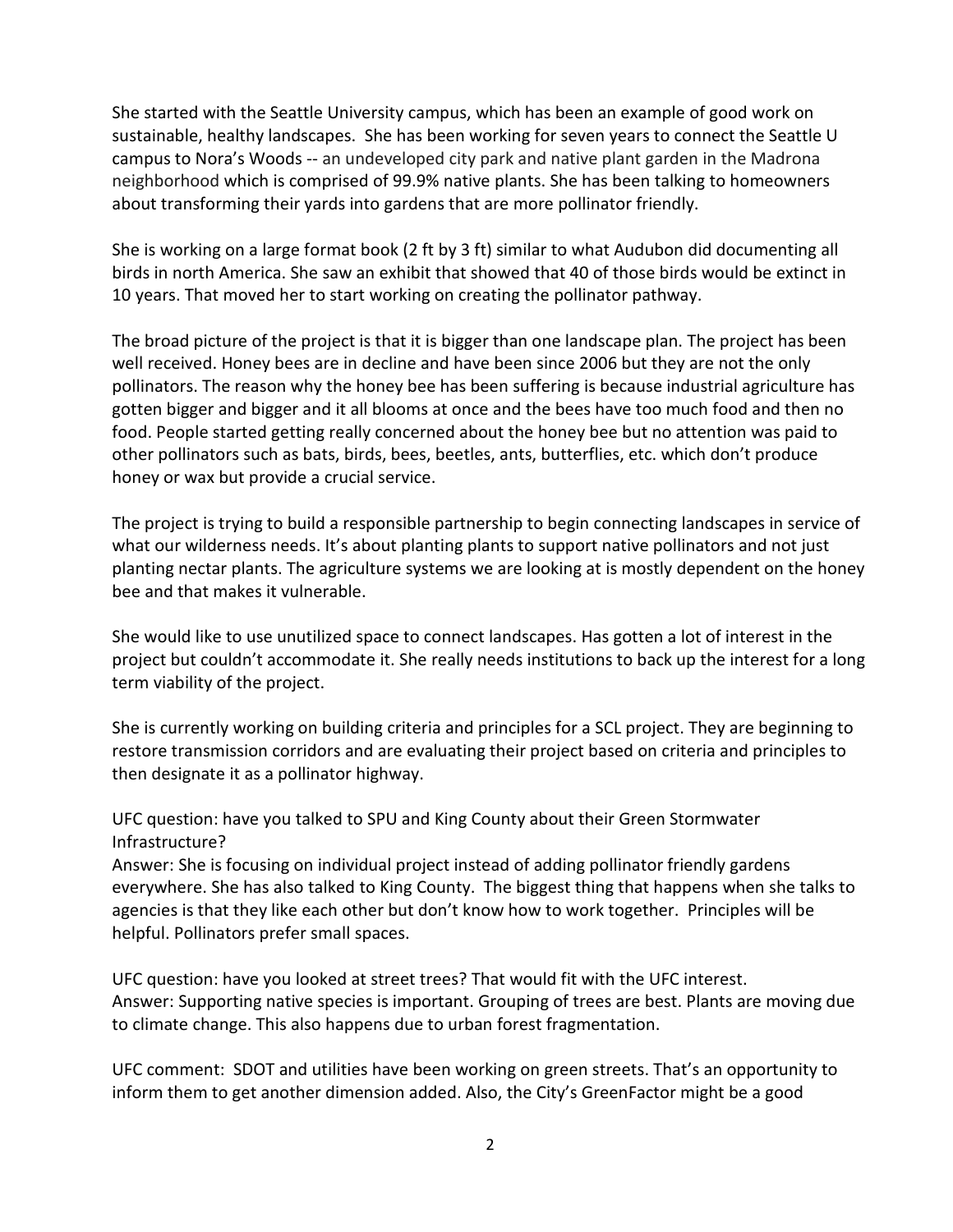She started with the Seattle University campus, which has been an example of good work on sustainable, healthy landscapes. She has been working for seven years to connect the Seattle U campus to Nora's Woods -- an undeveloped city park and native plant garden in the Madrona neighborhood which is comprised of 99.9% native plants. She has been talking to homeowners about transforming their yards into gardens that are more pollinator friendly.

She is working on a large format book (2 ft by 3 ft) similar to what Audubon did documenting all birds in north America. She saw an exhibit that showed that 40 of those birds would be extinct in 10 years. That moved her to start working on creating the pollinator pathway.

The broad picture of the project is that it is bigger than one landscape plan. The project has been well received. Honey bees are in decline and have been since 2006 but they are not the only pollinators. The reason why the honey bee has been suffering is because industrial agriculture has gotten bigger and bigger and it all blooms at once and the bees have too much food and then no food. People started getting really concerned about the honey bee but no attention was paid to other pollinators such as bats, birds, bees, beetles, ants, butterflies, etc. which don't produce honey or wax but provide a crucial service.

The project is trying to build a responsible partnership to begin connecting landscapes in service of what our wilderness needs. It's about planting plants to support native pollinators and not just planting nectar plants. The agriculture systems we are looking at is mostly dependent on the honey bee and that makes it vulnerable.

She would like to use unutilized space to connect landscapes. Has gotten a lot of interest in the project but couldn't accommodate it. She really needs institutions to back up the interest for a long term viability of the project.

She is currently working on building criteria and principles for a SCL project. They are beginning to restore transmission corridors and are evaluating their project based on criteria and principles to then designate it as a pollinator highway.

UFC question: have you talked to SPU and King County about their Green Stormwater Infrastructure?

Answer: She is focusing on individual project instead of adding pollinator friendly gardens everywhere. She has also talked to King County. The biggest thing that happens when she talks to agencies is that they like each other but don't know how to work together. Principles will be helpful. Pollinators prefer small spaces.

UFC question: have you looked at street trees? That would fit with the UFC interest. Answer: Supporting native species is important. Grouping of trees are best. Plants are moving due to climate change. This also happens due to urban forest fragmentation.

UFC comment: SDOT and utilities have been working on green streets. That's an opportunity to inform them to get another dimension added. Also, the City's GreenFactor might be a good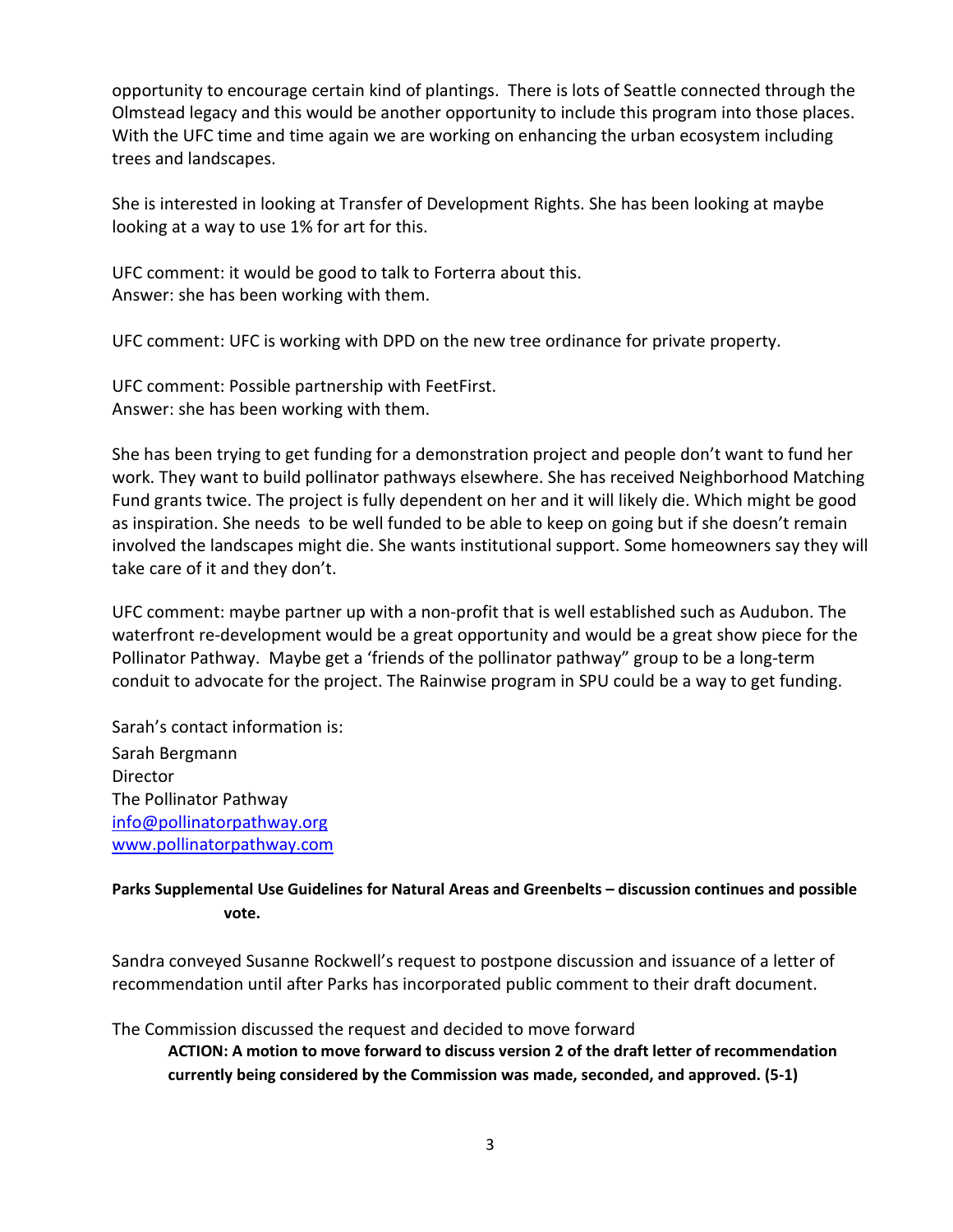opportunity to encourage certain kind of plantings. There is lots of Seattle connected through the Olmstead legacy and this would be another opportunity to include this program into those places. With the UFC time and time again we are working on enhancing the urban ecosystem including trees and landscapes.

She is interested in looking at Transfer of Development Rights. She has been looking at maybe looking at a way to use 1% for art for this.

UFC comment: it would be good to talk to Forterra about this. Answer: she has been working with them.

UFC comment: UFC is working with DPD on the new tree ordinance for private property.

UFC comment: Possible partnership with FeetFirst. Answer: she has been working with them.

She has been trying to get funding for a demonstration project and people don't want to fund her work. They want to build pollinator pathways elsewhere. She has received Neighborhood Matching Fund grants twice. The project is fully dependent on her and it will likely die. Which might be good as inspiration. She needs to be well funded to be able to keep on going but if she doesn't remain involved the landscapes might die. She wants institutional support. Some homeowners say they will take care of it and they don't.

UFC comment: maybe partner up with a non-profit that is well established such as Audubon. The waterfront re-development would be a great opportunity and would be a great show piece for the Pollinator Pathway. Maybe get a 'friends of the pollinator pathway" group to be a long-term conduit to advocate for the project. The Rainwise program in SPU could be a way to get funding.

Sarah's contact information is: Sarah Bergmann Director The Pollinator Pathway [info@pollinatorpathway.org](mailto:info@pollinatorpathway.org) [www.pollinatorpathway.com](http://www.pollinatorpathway.com/)

# **Parks Supplemental Use Guidelines for Natural Areas and Greenbelts – discussion continues and possible vote.**

Sandra conveyed Susanne Rockwell's request to postpone discussion and issuance of a letter of recommendation until after Parks has incorporated public comment to their draft document.

The Commission discussed the request and decided to move forward

**ACTION: A motion to move forward to discuss version 2 of the draft letter of recommendation currently being considered by the Commission was made, seconded, and approved. (5-1)**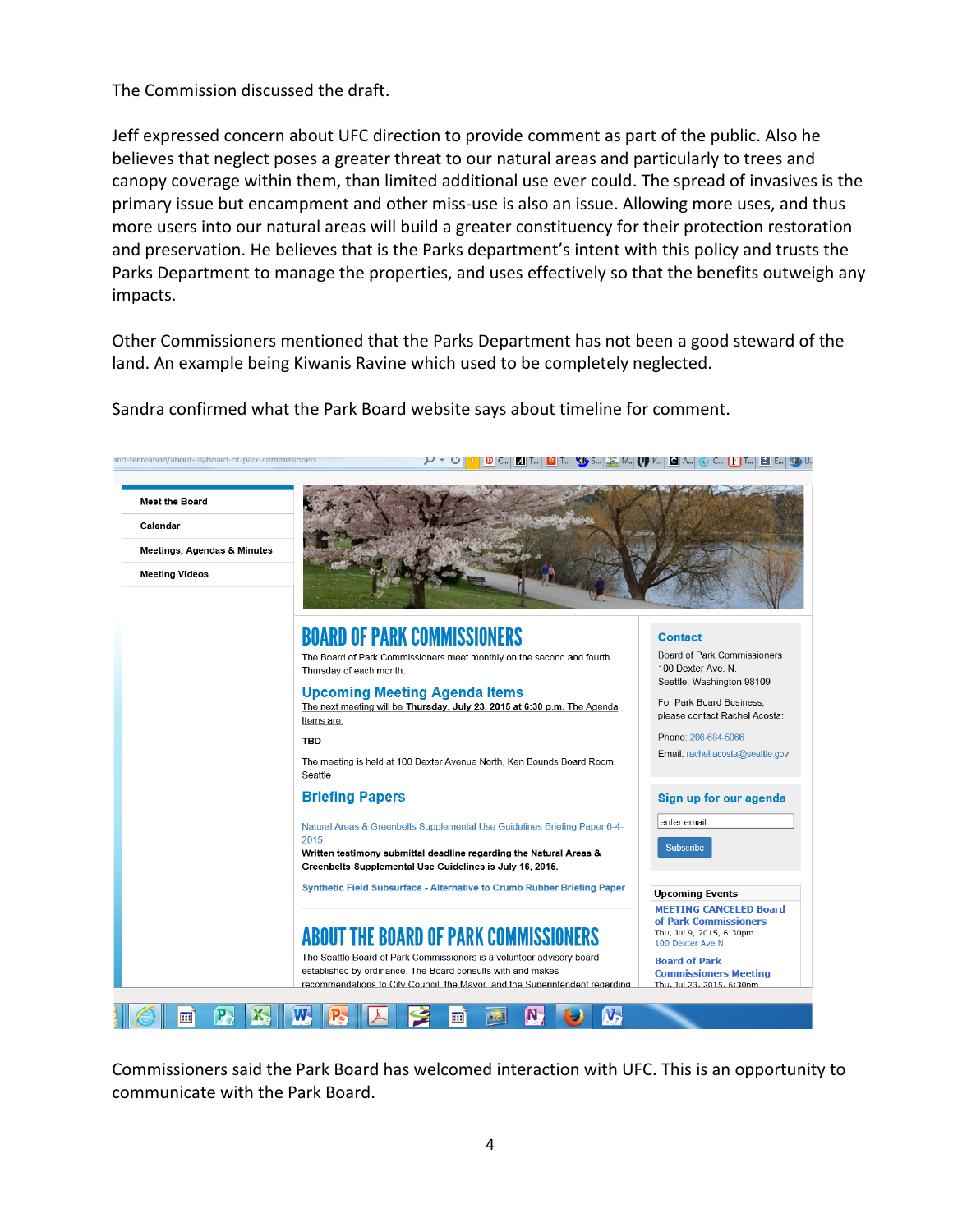The Commission discussed the draft.

Jeff expressed concern about UFC direction to provide comment as part of the public. Also he believes that neglect poses a greater threat to our natural areas and particularly to trees and canopy coverage within them, than limited additional use ever could. The spread of invasives is the primary issue but encampment and other miss-use is also an issue. Allowing more uses, and thus more users into our natural areas will build a greater constituency for their protection restoration and preservation. He believes that is the Parks department's intent with this policy and trusts the Parks Department to manage the properties, and uses effectively so that the benefits outweigh any impacts.

Other Commissioners mentioned that the Parks Department has not been a good steward of the land. An example being Kiwanis Ravine which used to be completely neglected.

Sandra confirmed what the Park Board website says about timeline for comment.



Commissioners said the Park Board has welcomed interaction with UFC. This is an opportunity to communicate with the Park Board.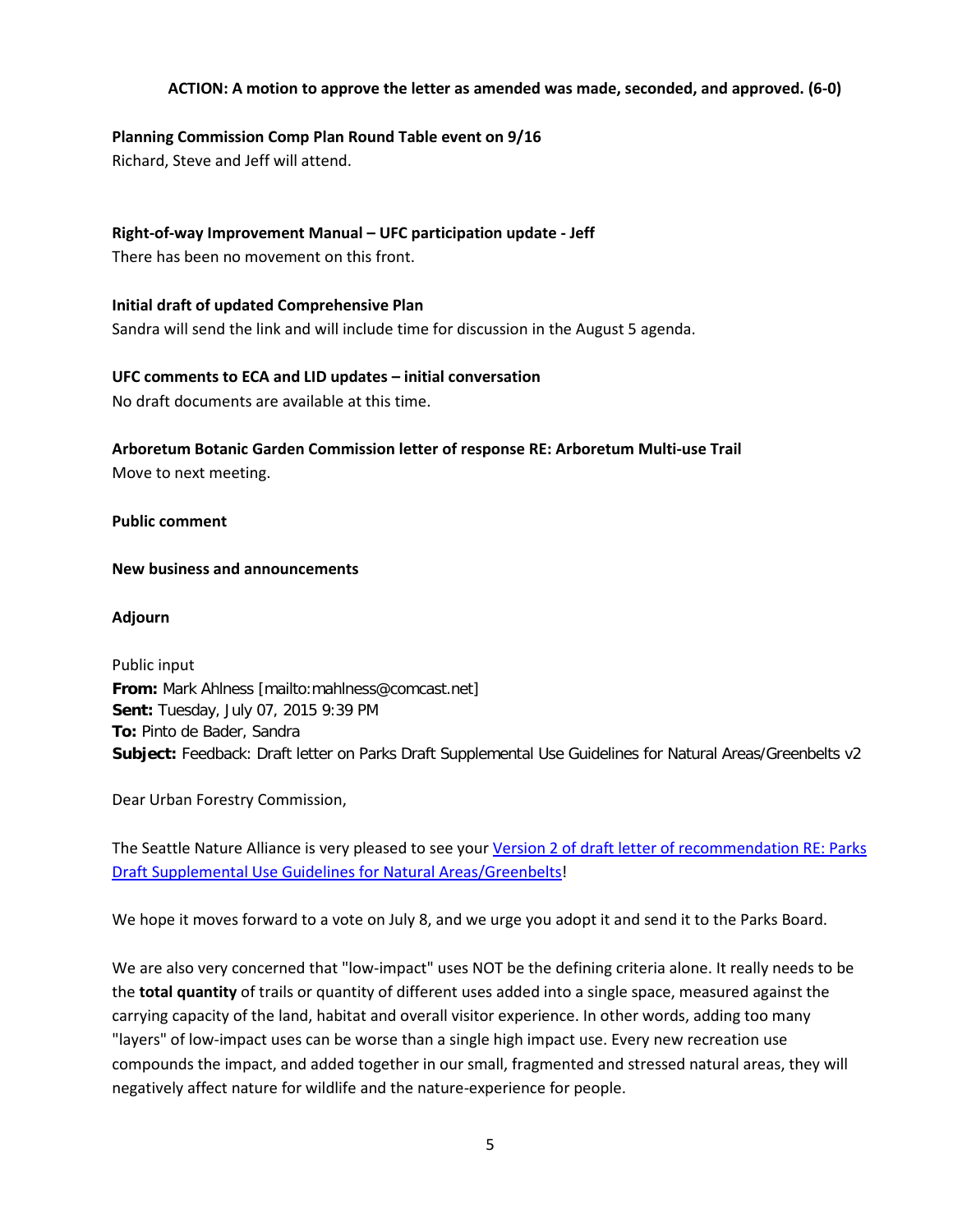## **ACTION: A motion to approve the letter as amended was made, seconded, and approved. (6-0)**

## **Planning Commission Comp Plan Round Table event on 9/16**

Richard, Steve and Jeff will attend.

# **Right-of-way Improvement Manual – UFC participation update - Jeff**

There has been no movement on this front.

# **Initial draft of updated Comprehensive Plan** Sandra will send the link and will include time for discussion in the August 5 agenda.

# **UFC comments to ECA and LID updates – initial conversation**

No draft documents are available at this time.

# **Arboretum Botanic Garden Commission letter of response RE: Arboretum Multi-use Trail** Move to next meeting.

**Public comment**

## **New business and announcements**

## **Adjourn**

Public input **From:** Mark Ahlness [mailto:mahlness@comcast.net] **Sent:** Tuesday, July 07, 2015 9:39 PM **To:** Pinto de Bader, Sandra **Subject:** Feedback: Draft letter on Parks Draft Supplemental Use Guidelines for Natural Areas/Greenbelts v2

Dear Urban Forestry Commission,

The Seattle Nature Alliance is very pleased to see you[r Version 2 of draft letter of recommendation RE: Parks](http://www.seattle.gov/Documents/Departments/UrbanForestryCommission/2015/2015docs/DraftParksSupplementalUseGuidelinesv2070815.pdf)  [Draft Supplemental Use Guidelines for Natural Areas/Greenbelts!](http://www.seattle.gov/Documents/Departments/UrbanForestryCommission/2015/2015docs/DraftParksSupplementalUseGuidelinesv2070815.pdf)

We hope it moves forward to a vote on July 8, and we urge you adopt it and send it to the Parks Board.

We are also very concerned that "low-impact" uses NOT be the defining criteria alone. It really needs to be the **total quantity** of trails or quantity of different uses added into a single space, measured against the carrying capacity of the land, habitat and overall visitor experience. In other words, adding too many "layers" of low-impact uses can be worse than a single high impact use. Every new recreation use compounds the impact, and added together in our small, fragmented and stressed natural areas, they will negatively affect nature for wildlife and the nature-experience for people.